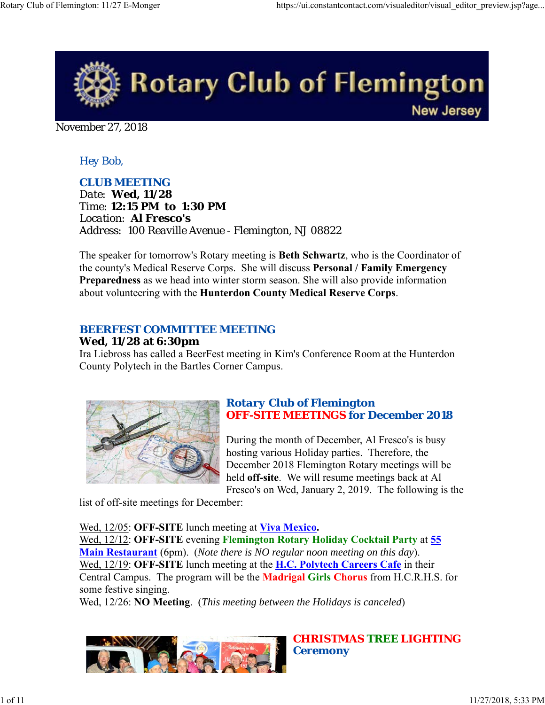

November 27, 2018

## *Hey Bob,*

*CLUB MEETING Date: Wed, 11/28 Time: 12:15 PM to 1:30 PM Location: Al Fresco's Address: 100 Reaville Avenue - Flemington, NJ 08822*

The speaker for tomorrow's Rotary meeting is **Beth Schwartz**, who is the Coordinator of the county's Medical Reserve Corps. She will discuss **Personal / Family Emergency Preparedness** as we head into winter storm season. She will also provide information about volunteering with the **Hunterdon County Medical Reserve Corps**.

### *BEERFEST COMMITTEE MEETING*

#### **Wed, 11/28 at 6:30pm**

Ira Liebross has called a BeerFest meeting in Kim's Conference Room at the Hunterdon County Polytech in the Bartles Corner Campus.



## *Rotary Club of Flemington OFF-SITE MEETINGS for December 2018*

During the month of December, Al Fresco's is busy hosting various Holiday parties. Therefore, the December 2018 Flemington Rotary meetings will be held **off-site**. We will resume meetings back at Al Fresco's on Wed, January 2, 2019. The following is the

list of off-site meetings for December:

Wed, 12/05: **OFF-SITE** lunch meeting at **Viva Mexico.** Wed, 12/12: **OFF-SITE** evening **Flemington Rotary Holiday Cocktail Party** at **55 Main Restaurant** (6pm). (*Note there is NO regular noon meeting on this day*). Wed, 12/19: **OFF-SITE** lunch meeting at the **H.C. Polytech Careers Cafe** in their Central Campus. The program will be the **Madrigal Girls Chorus** from H.C.R.H.S. for some festive singing.

Wed, 12/26: **NO Meeting**. (*This meeting between the Holidays is canceled*)



*CHRISTMAS TREE LIGHTING Ceremony*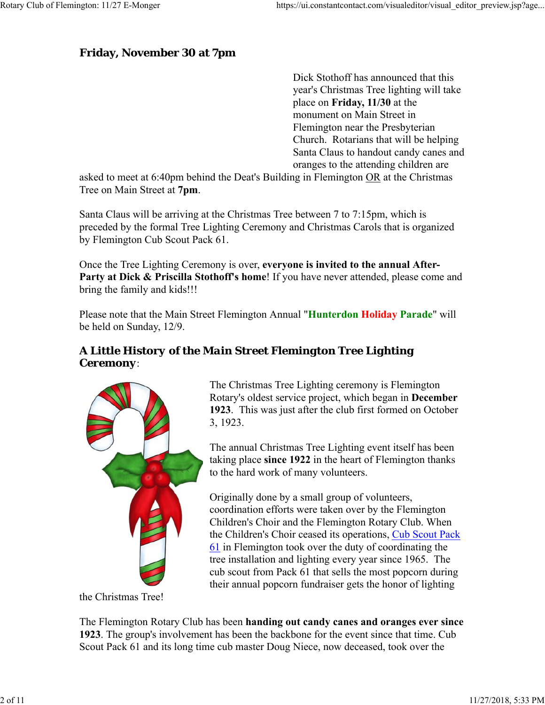## **Friday, November 30 at 7pm**

Dick Stothoff has announced that this year's Christmas Tree lighting will take place on **Friday, 11/30** at the monument on Main Street in Flemington near the Presbyterian Church. Rotarians that will be helping Santa Claus to handout candy canes and oranges to the attending children are

asked to meet at 6:40pm behind the Deat's Building in Flemington OR at the Christmas Tree on Main Street at **7pm**.

Santa Claus will be arriving at the Christmas Tree between 7 to 7:15pm, which is preceded by the formal Tree Lighting Ceremony and Christmas Carols that is organized by Flemington Cub Scout Pack 61.

Once the Tree Lighting Ceremony is over, **everyone is invited to the annual After-**Party at Dick & Priscilla Stothoff's home! If you have never attended, please come and bring the family and kids!!!

Please note that the Main Street Flemington Annual "**Hunterdon Holiday Parade**" will be held on Sunday, 12/9.

## *A Little History of the Main Street Flemington Tree Lighting Ceremony*:



The Christmas Tree Lighting ceremony is Flemington Rotary's oldest service project, which began in **December 1923**. This was just after the club first formed on October 3, 1923.

The annual Christmas Tree Lighting event itself has been taking place **since 1922** in the heart of Flemington thanks to the hard work of many volunteers.

Originally done by a small group of volunteers, coordination efforts were taken over by the Flemington Children's Choir and the Flemington Rotary Club. When the Children's Choir ceased its operations, Cub Scout Pack 61 in Flemington took over the duty of coordinating the tree installation and lighting every year since 1965. The cub scout from Pack 61 that sells the most popcorn during their annual popcorn fundraiser gets the honor of lighting

the Christmas Tree!

The Flemington Rotary Club has been **handing out candy canes and oranges ever since 1923**. The group's involvement has been the backbone for the event since that time. Cub Scout Pack 61 and its long time cub master Doug Niece, now deceased, took over the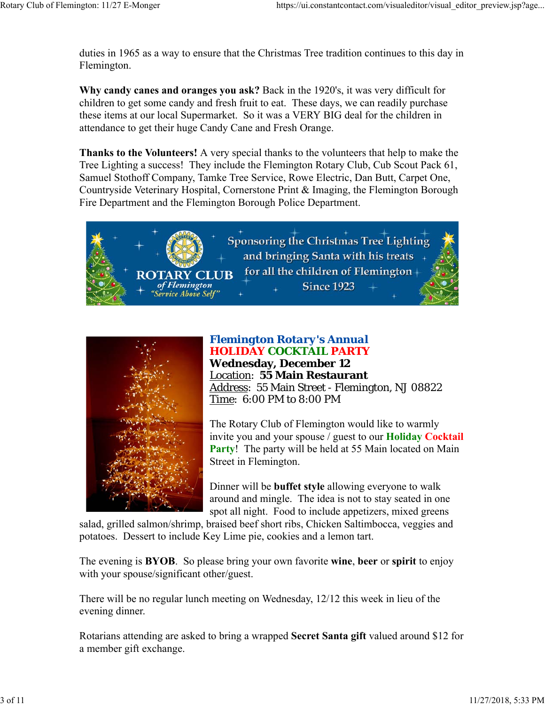duties in 1965 as a way to ensure that the Christmas Tree tradition continues to this day in Flemington.

**Why candy canes and oranges you ask?** Back in the 1920's, it was very difficult for children to get some candy and fresh fruit to eat. These days, we can readily purchase these items at our local Supermarket. So it was a VERY BIG deal for the children in attendance to get their huge Candy Cane and Fresh Orange.

**Thanks to the Volunteers!** A very special thanks to the volunteers that help to make the Tree Lighting a success! They include the Flemington Rotary Club, Cub Scout Pack 61, Samuel Stothoff Company, Tamke Tree Service, Rowe Electric, Dan Butt, Carpet One, Countryside Veterinary Hospital, Cornerstone Print & Imaging, the Flemington Borough Fire Department and the Flemington Borough Police Department.





## *Flemington Rotary's Annual HOLIDAY COCKTAIL PARTY* **Wednesday, December 12** Location: **55 Main Restaurant**

Address: 55 Main Street - Flemington, NJ 08822 Time: 6:00 PM to 8:00 PM

The Rotary Club of Flemington would like to warmly invite you and your spouse / guest to our **Holiday Cocktail Party!** The party will be held at 55 Main located on Main Street in Flemington.

Dinner will be **buffet style** allowing everyone to walk around and mingle. The idea is not to stay seated in one spot all night. Food to include appetizers, mixed greens

salad, grilled salmon/shrimp, braised beef short ribs, Chicken Saltimbocca, veggies and potatoes. Dessert to include Key Lime pie, cookies and a lemon tart.

The evening is **BYOB**. So please bring your own favorite **wine**, **beer** or **spirit** to enjoy with your spouse/significant other/guest.

There will be no regular lunch meeting on Wednesday, 12/12 this week in lieu of the evening dinner.

Rotarians attending are asked to bring a wrapped **Secret Santa gift** valued around \$12 for a member gift exchange.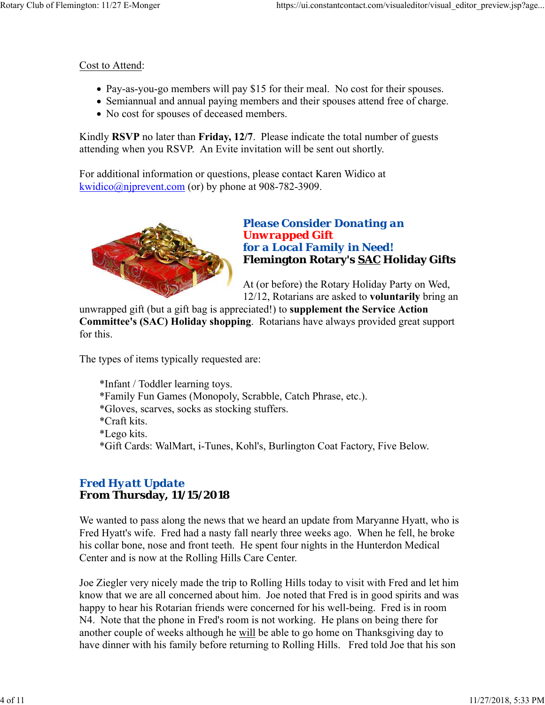#### Cost to Attend:

- Pay-as-you-go members will pay \$15 for their meal. No cost for their spouses.
- Semiannual and annual paying members and their spouses attend free of charge.
- No cost for spouses of deceased members.

Kindly **RSVP** no later than **Friday, 12/7**. Please indicate the total number of guests attending when you RSVP. An Evite invitation will be sent out shortly.

For additional information or questions, please contact Karen Widico at kwidico@njprevent.com (or) by phone at 908-782-3909.



## *Please Consider Donating an Unwrapped Gift for a Local Family in Need!* **Flemington Rotary's SAC Holiday Gifts**

At (or before) the Rotary Holiday Party on Wed, 12/12, Rotarians are asked to **voluntarily** bring an

unwrapped gift (but a gift bag is appreciated!) to **supplement the Service Action Committee's (SAC) Holiday shopping**. Rotarians have always provided great support for this.

The types of items typically requested are:

\*Infant / Toddler learning toys. \*Family Fun Games (Monopoly, Scrabble, Catch Phrase, etc.). \*Gloves, scarves, socks as stocking stuffers. \*Craft kits. \*Lego kits. \*Gift Cards: WalMart, i-Tunes, Kohl's, Burlington Coat Factory, Five Below.

## *Fred Hyatt Update* **From Thursday, 11/15/2018**

We wanted to pass along the news that we heard an update from Maryanne Hyatt, who is Fred Hyatt's wife. Fred had a nasty fall nearly three weeks ago. When he fell, he broke his collar bone, nose and front teeth. He spent four nights in the Hunterdon Medical Center and is now at the Rolling Hills Care Center.

Joe Ziegler very nicely made the trip to Rolling Hills today to visit with Fred and let him know that we are all concerned about him. Joe noted that Fred is in good spirits and was happy to hear his Rotarian friends were concerned for his well-being. Fred is in room N4. Note that the phone in Fred's room is not working. He plans on being there for another couple of weeks although he will be able to go home on Thanksgiving day to have dinner with his family before returning to Rolling Hills. Fred told Joe that his son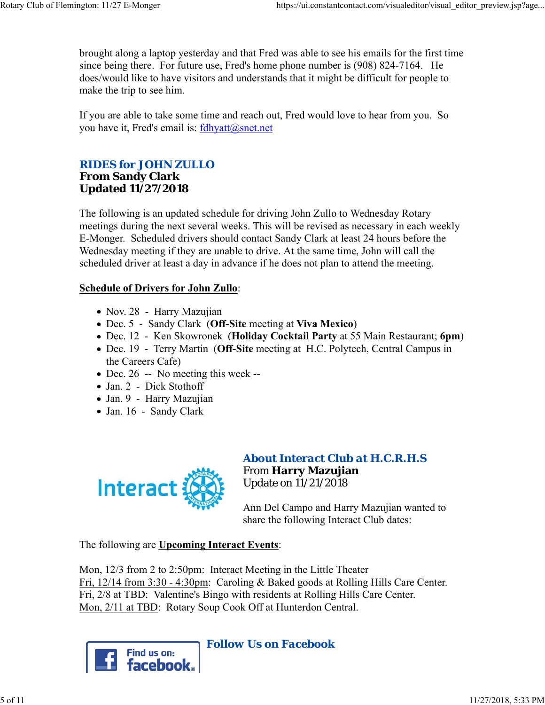brought along a laptop yesterday and that Fred was able to see his emails for the first time since being there. For future use, Fred's home phone number is (908) 824-7164. He does/would like to have visitors and understands that it might be difficult for people to make the trip to see him.

If you are able to take some time and reach out, Fred would love to hear from you. So you have it, Fred's email is: fdhyatt@snet.net

### *RIDES for JOHN ZULLO* **From Sandy Clark Updated 11/27/2018**

The following is an updated schedule for driving John Zullo to Wednesday Rotary meetings during the next several weeks. This will be revised as necessary in each weekly E-Monger. Scheduled drivers should contact Sandy Clark at least 24 hours before the Wednesday meeting if they are unable to drive. At the same time, John will call the scheduled driver at least a day in advance if he does not plan to attend the meeting.

#### **Schedule of Drivers for John Zullo**:

- Nov. 28 Harry Mazujian
- Dec. 5 Sandy Clark (**Off-Site** meeting at **Viva Mexico**)
- Dec. 12 Ken Skowronek (**Holiday Cocktail Party** at 55 Main Restaurant; **6pm**)
- Dec. 19 Terry Martin (**Off-Site** meeting at H.C. Polytech, Central Campus in the Careers Cafe)
- $\bullet$  Dec. 26 -- No meeting this week --
- Jan. 2 Dick Stothoff
- Jan. 9 Harry Mazujian
- Jan. 16 Sandy Clark



## *About Interact Club at H.C.R.H.S* From **Harry Mazujian** Update on 11/21/2018

Ann Del Campo and Harry Mazujian wanted to share the following Interact Club dates:

The following are **Upcoming Interact Events**:

Mon, 12/3 from 2 to 2:50pm: Interact Meeting in the Little Theater Fri, 12/14 from 3:30 - 4:30pm: Caroling & Baked goods at Rolling Hills Care Center. Fri, 2/8 at TBD: Valentine's Bingo with residents at Rolling Hills Care Center. Mon, 2/11 at TBD: Rotary Soup Cook Off at Hunterdon Central.

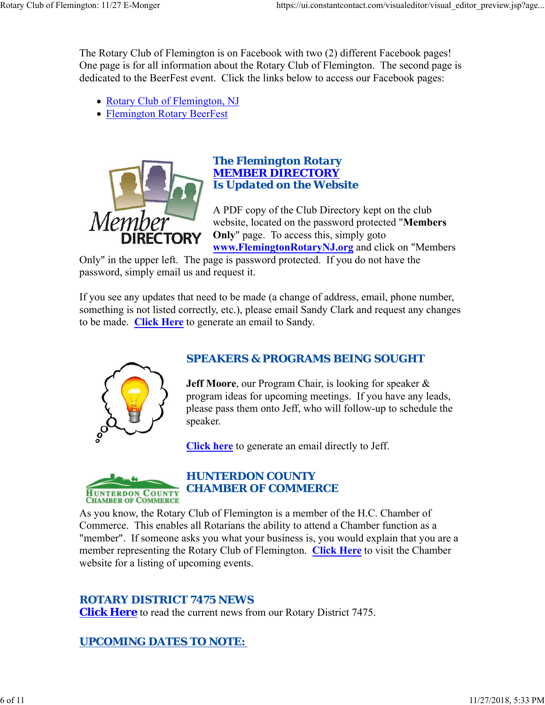The Rotary Club of Flemington is on Facebook with two (2) different Facebook pages! One page is for all information about the Rotary Club of Flemington. The second page is dedicated to the BeerFest event. Click the links below to access our Facebook pages:

- Rotary Club of Flemington, NJ
- Flemington Rotary BeerFest



#### *The Flemington Rotary MEMBER DIRECTORY Is Updated on the Website*

A PDF copy of the Club Directory kept on the club website, located on the password protected "**Members Only**" page. To access this, simply goto **www.FlemingtonRotaryNJ.org** and click on "Members

Only" in the upper left. The page is password protected. If you do not have the password, simply email us and request it.

If you see any updates that need to be made (a change of address, email, phone number, something is not listed correctly, etc.), please email Sandy Clark and request any changes to be made. **Click Here** to generate an email to Sandy.



## *SPEAKERS & PROGRAMS BEING SOUGHT*

**Jeff Moore**, our Program Chair, is looking for speaker & program ideas for upcoming meetings. If you have any leads, please pass them onto Jeff, who will follow-up to schedule the speaker.

**Click here** to generate an email directly to Jeff.



## *HUNTERDON COUNTY CHAMBER OF COMMERCE*

As you know, the Rotary Club of Flemington is a member of the H.C. Chamber of Commerce. This enables all Rotarians the ability to attend a Chamber function as a "member". If someone asks you what your business is, you would explain that you are a member representing the Rotary Club of Flemington. **Click Here** to visit the Chamber website for a listing of upcoming events.

## *ROTARY DISTRICT 7475 NEWS*

**Click Here** to read the current news from our Rotary District 7475.

## *UPCOMING DATES TO NOTE:*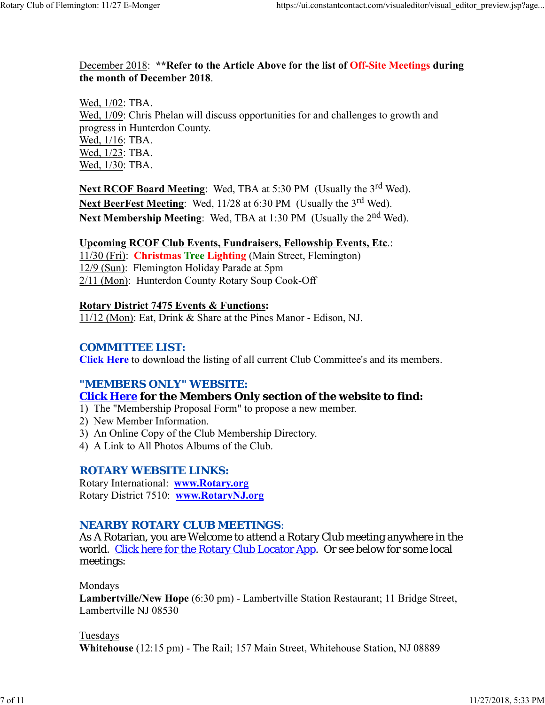#### December 2018: **\*\*Refer to the Article Above for the list of Off-Site Meetings during the month of December 2018**.

Wed, 1/02: TBA. Wed, 1/09: Chris Phelan will discuss opportunities for and challenges to growth and progress in Hunterdon County. Wed, 1/16: TBA. Wed, 1/23: TBA. Wed, 1/30: TBA.

**Next RCOF Board Meeting:** Wed, TBA at 5:30 PM (Usually the 3<sup>rd</sup> Wed). **Next BeerFest Meeting:** Wed, 11/28 at 6:30 PM (Usually the 3<sup>rd</sup> Wed). Next Membership Meeting: Wed, TBA at 1:30 PM (Usually the 2<sup>nd</sup> Wed).

#### **Upcoming RCOF Club Events, Fundraisers, Fellowship Events, Etc**.:

11/30 (Fri): **Christmas Tree Lighting** (Main Street, Flemington) 12/9 (Sun): Flemington Holiday Parade at 5pm 2/11 (Mon): Hunterdon County Rotary Soup Cook-Off

#### **Rotary District 7475 Events & Functions:**

11/12 (Mon): Eat, Drink & Share at the Pines Manor - Edison, NJ.

#### *COMMITTEE LIST:*

**Click Here** to download the listing of all current Club Committee's and its members.

#### *"MEMBERS ONLY" WEBSITE:*

#### **Click Here for the Members Only section of the website to find:**

1) The "Membership Proposal Form" to propose a new member.

- 2) New Member Information.
- 3) An Online Copy of the Club Membership Directory.
- 4) A Link to All Photos Albums of the Club.

#### *ROTARY WEBSITE LINKS:*

Rotary International: **www.Rotary.org** Rotary District 7510: **www.RotaryNJ.org**

### *NEARBY ROTARY CLUB MEETINGS:*

As A Rotarian, you are Welcome to attend a Rotary Club meeting anywhere in the world. Click here for the Rotary Club Locator App. Or see below for some local meetings:

#### Mondays

**Lambertville/New Hope** (6:30 pm) - Lambertville Station Restaurant; 11 Bridge Street, Lambertville NJ 08530

#### Tuesdays

**Whitehouse** (12:15 pm) - The Rail; 157 Main Street, Whitehouse Station, NJ 08889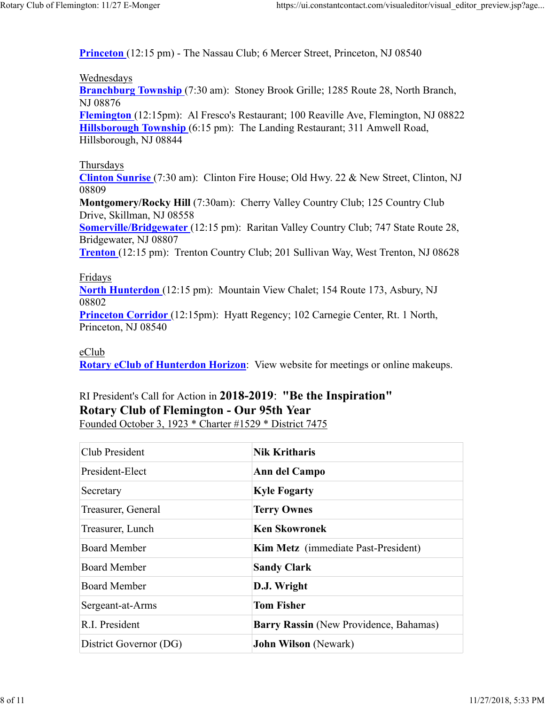**Princeton** (12:15 pm) - The Nassau Club; 6 Mercer Street, Princeton, NJ 08540

#### Wednesdays

**Branchburg Township** (7:30 am): Stoney Brook Grille; 1285 Route 28, North Branch, NJ 08876

**Flemington** (12:15pm): Al Fresco's Restaurant; 100 Reaville Ave, Flemington, NJ 08822 **Hillsborough Township** (6:15 pm): The Landing Restaurant; 311 Amwell Road, Hillsborough, NJ 08844

#### Thursdays

**Clinton Sunrise** (7:30 am): Clinton Fire House; Old Hwy. 22 & New Street, Clinton, NJ 08809

**Montgomery/Rocky Hill** (7:30am): Cherry Valley Country Club; 125 Country Club Drive, Skillman, NJ 08558

**Somerville/Bridgewater** (12:15 pm): Raritan Valley Country Club; 747 State Route 28, Bridgewater, NJ 08807

**Trenton** (12:15 pm): Trenton Country Club; 201 Sullivan Way, West Trenton, NJ 08628

#### Fridays

**North Hunterdon** (12:15 pm): Mountain View Chalet; 154 Route 173, Asbury, NJ 08802

**Princeton Corridor** (12:15pm): Hyatt Regency; 102 Carnegie Center, Rt. 1 North, Princeton, NJ 08540

#### eClub

**Rotary eClub of Hunterdon Horizon**: View website for meetings or online makeups.

# RI President's Call for Action in **2018-2019**: **"Be the Inspiration" Rotary Club of Flemington - Our 95th Year**

Founded October 3, 1923 \* Charter #1529 \* District 7475

| Club President         | <b>Nik Kritharis</b>                   |  |
|------------------------|----------------------------------------|--|
| President-Elect        | Ann del Campo                          |  |
| Secretary              | <b>Kyle Fogarty</b>                    |  |
| Treasurer, General     | <b>Terry Ownes</b>                     |  |
| Treasurer, Lunch       | <b>Ken Skowronek</b>                   |  |
| <b>Board Member</b>    | Kim Metz (immediate Past-President)    |  |
| <b>Board Member</b>    | <b>Sandy Clark</b>                     |  |
| Board Member           | D.J. Wright                            |  |
| Sergeant-at-Arms       | <b>Tom Fisher</b>                      |  |
| R.I. President         | Barry Rassin (New Providence, Bahamas) |  |
| District Governor (DG) | <b>John Wilson</b> (Newark)            |  |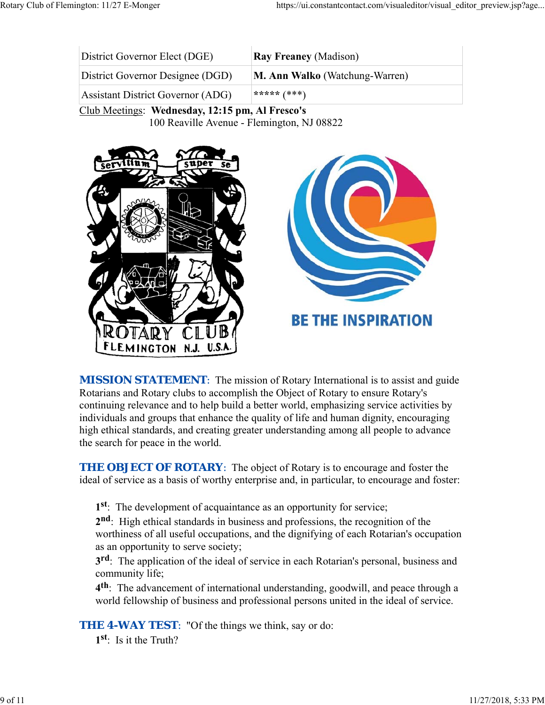| <b>Ray Freaney</b> (Madison)          |
|---------------------------------------|
| <b>M. Ann Walko</b> (Watchung-Warren) |
| ***** $(***)$                         |
|                                       |

Club Meetings: **Wednesday, 12:15 pm, Al Fresco's** 100 Reaville Avenue - Flemington, NJ 08822



**MISSION STATEMENT:** The mission of Rotary International is to assist and guide Rotarians and Rotary clubs to accomplish the Object of Rotary to ensure Rotary's continuing relevance and to help build a better world, emphasizing service activities by individuals and groups that enhance the quality of life and human dignity, encouraging high ethical standards, and creating greater understanding among all people to advance the search for peace in the world.

*THE OBJECT OF ROTARY*: The object of Rotary is to encourage and foster the ideal of service as a basis of worthy enterprise and, in particular, to encourage and foster:

**1st**: The development of acquaintance as an opportunity for service;

**2nd**: High ethical standards in business and professions, the recognition of the worthiness of all useful occupations, and the dignifying of each Rotarian's occupation as an opportunity to serve society;

**3rd**: The application of the ideal of service in each Rotarian's personal, business and community life;

**4th**: The advancement of international understanding, goodwill, and peace through a world fellowship of business and professional persons united in the ideal of service.

**THE 4-WAY TEST:** "Of the things we think, say or do:

**1st**: Is it the Truth?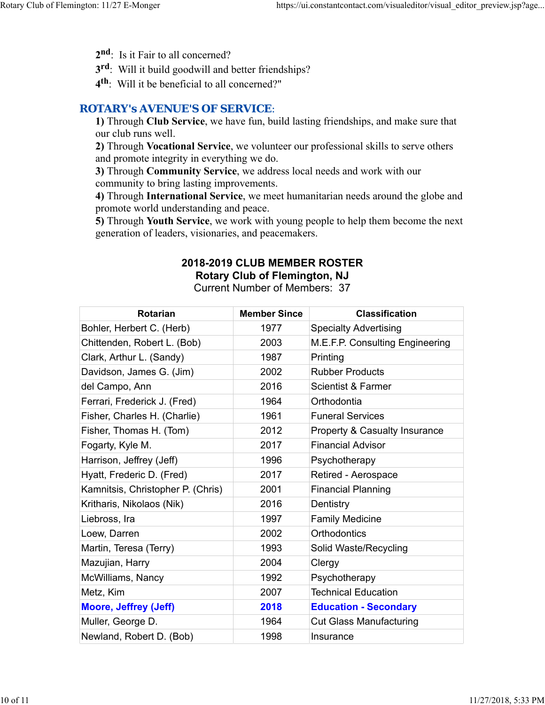- 2<sup>nd</sup>: Is it Fair to all concerned?
- **3rd**: Will it build goodwill and better friendships?
- **4th**: Will it be beneficial to all concerned?"

### *ROTARY's AVENUE'S OF SERVICE*:

**1)** Through **Club Service**, we have fun, build lasting friendships, and make sure that our club runs well.

**2)** Through **Vocational Service**, we volunteer our professional skills to serve others and promote integrity in everything we do.

**3)** Through **Community Service**, we address local needs and work with our community to bring lasting improvements.

**4)** Through **International Service**, we meet humanitarian needs around the globe and promote world understanding and peace.

**5)** Through **Youth Service**, we work with young people to help them become the next generation of leaders, visionaries, and peacemakers.

#### **2018-2019 CLUB MEMBER ROSTER Rotary Club of Flemington, NJ**

Current Number of Members: 37

| <b>Rotarian</b>                   | <b>Member Since</b> | <b>Classification</b>                    |
|-----------------------------------|---------------------|------------------------------------------|
| Bohler, Herbert C. (Herb)         | 1977                | <b>Specialty Advertising</b>             |
| Chittenden, Robert L. (Bob)       | 2003                | M.E.F.P. Consulting Engineering          |
| Clark, Arthur L. (Sandy)          | 1987                | Printing                                 |
| Davidson, James G. (Jim)          | 2002                | <b>Rubber Products</b>                   |
| del Campo, Ann                    | 2016                | <b>Scientist &amp; Farmer</b>            |
| Ferrari, Frederick J. (Fred)      | 1964                | Orthodontia                              |
| Fisher, Charles H. (Charlie)      | 1961                | <b>Funeral Services</b>                  |
| Fisher, Thomas H. (Tom)           | 2012                | <b>Property &amp; Casualty Insurance</b> |
| Fogarty, Kyle M.                  | 2017                | <b>Financial Advisor</b>                 |
| Harrison, Jeffrey (Jeff)          | 1996                | Psychotherapy                            |
| Hyatt, Frederic D. (Fred)         | 2017                | Retired - Aerospace                      |
| Kamnitsis, Christopher P. (Chris) | 2001                | <b>Financial Planning</b>                |
| Kritharis, Nikolaos (Nik)         | 2016                | Dentistry                                |
| Liebross, Ira                     | 1997                | <b>Family Medicine</b>                   |
| Loew, Darren                      | 2002                | <b>Orthodontics</b>                      |
| Martin, Teresa (Terry)            | 1993                | Solid Waste/Recycling                    |
| Mazujian, Harry                   | 2004                | Clergy                                   |
| McWilliams, Nancy                 | 1992                | Psychotherapy                            |
| Metz, Kim                         | 2007                | <b>Technical Education</b>               |
| <b>Moore, Jeffrey (Jeff)</b>      | 2018                | <b>Education - Secondary</b>             |
| Muller, George D.                 | 1964                | <b>Cut Glass Manufacturing</b>           |
| Newland, Robert D. (Bob)          | 1998                | Insurance                                |